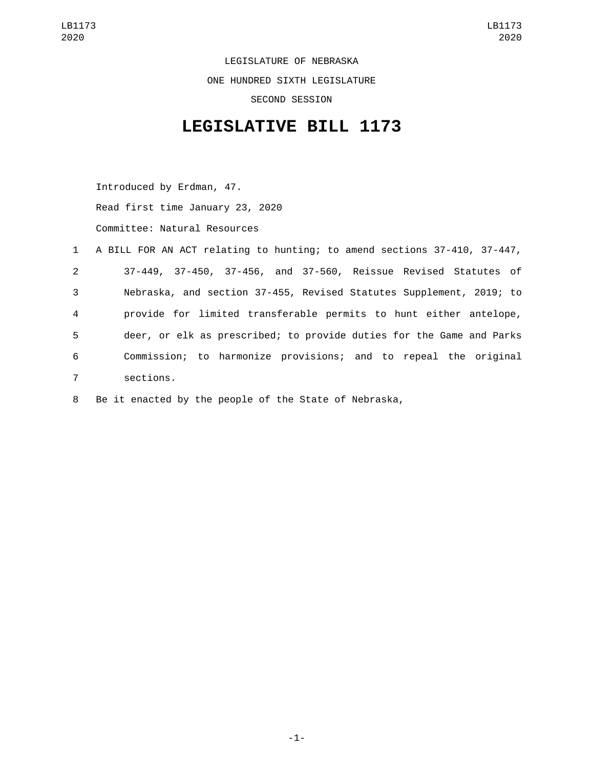LEGISLATURE OF NEBRASKA ONE HUNDRED SIXTH LEGISLATURE SECOND SESSION

## **LEGISLATIVE BILL 1173**

Introduced by Erdman, 47. Read first time January 23, 2020 Committee: Natural Resources

|                | 1 A BILL FOR AN ACT relating to hunting; to amend sections 37-410, 37-447, |
|----------------|----------------------------------------------------------------------------|
| $\mathbf{2}$   | 37-449, 37-450, 37-456, and 37-560, Reissue Revised Statutes of            |
| 3              | Nebraska, and section 37-455, Revised Statutes Supplement, 2019; to        |
| 4              | provide for limited transferable permits to hunt either antelope,          |
| 5              | deer, or elk as prescribed; to provide duties for the Game and Parks       |
| 6              | Commission; to harmonize provisions; and to repeal the original            |
| $\overline{7}$ | sections.                                                                  |

8 Be it enacted by the people of the State of Nebraska,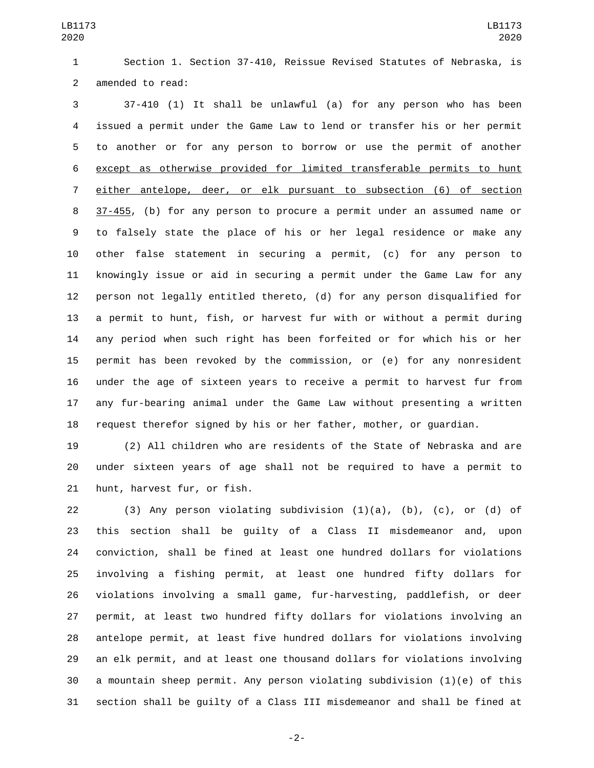LB1173 

 Section 1. Section 37-410, Reissue Revised Statutes of Nebraska, is 2 amended to read:

 37-410 (1) It shall be unlawful (a) for any person who has been issued a permit under the Game Law to lend or transfer his or her permit to another or for any person to borrow or use the permit of another except as otherwise provided for limited transferable permits to hunt either antelope, deer, or elk pursuant to subsection (6) of section 37-455, (b) for any person to procure a permit under an assumed name or to falsely state the place of his or her legal residence or make any other false statement in securing a permit, (c) for any person to knowingly issue or aid in securing a permit under the Game Law for any person not legally entitled thereto, (d) for any person disqualified for a permit to hunt, fish, or harvest fur with or without a permit during any period when such right has been forfeited or for which his or her permit has been revoked by the commission, or (e) for any nonresident under the age of sixteen years to receive a permit to harvest fur from any fur-bearing animal under the Game Law without presenting a written request therefor signed by his or her father, mother, or guardian.

 (2) All children who are residents of the State of Nebraska and are under sixteen years of age shall not be required to have a permit to 21 hunt, harvest fur, or fish.

22 (3) Any person violating subdivision  $(1)(a)$ ,  $(b)$ ,  $(c)$ , or  $(d)$  of this section shall be guilty of a Class II misdemeanor and, upon conviction, shall be fined at least one hundred dollars for violations involving a fishing permit, at least one hundred fifty dollars for violations involving a small game, fur-harvesting, paddlefish, or deer permit, at least two hundred fifty dollars for violations involving an antelope permit, at least five hundred dollars for violations involving an elk permit, and at least one thousand dollars for violations involving a mountain sheep permit. Any person violating subdivision (1)(e) of this section shall be guilty of a Class III misdemeanor and shall be fined at

-2-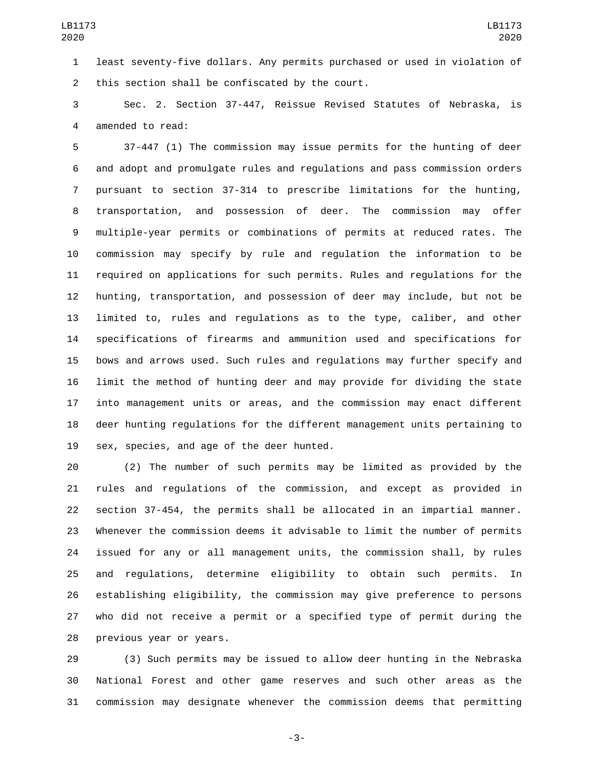least seventy-five dollars. Any permits purchased or used in violation of 2 this section shall be confiscated by the court.

 Sec. 2. Section 37-447, Reissue Revised Statutes of Nebraska, is 4 amended to read:

 37-447 (1) The commission may issue permits for the hunting of deer and adopt and promulgate rules and regulations and pass commission orders pursuant to section 37-314 to prescribe limitations for the hunting, transportation, and possession of deer. The commission may offer multiple-year permits or combinations of permits at reduced rates. The commission may specify by rule and regulation the information to be required on applications for such permits. Rules and regulations for the hunting, transportation, and possession of deer may include, but not be limited to, rules and regulations as to the type, caliber, and other specifications of firearms and ammunition used and specifications for bows and arrows used. Such rules and regulations may further specify and limit the method of hunting deer and may provide for dividing the state into management units or areas, and the commission may enact different deer hunting regulations for the different management units pertaining to 19 sex, species, and age of the deer hunted.

 (2) The number of such permits may be limited as provided by the rules and regulations of the commission, and except as provided in section 37-454, the permits shall be allocated in an impartial manner. Whenever the commission deems it advisable to limit the number of permits issued for any or all management units, the commission shall, by rules and regulations, determine eligibility to obtain such permits. In establishing eligibility, the commission may give preference to persons who did not receive a permit or a specified type of permit during the 28 previous year or years.

 (3) Such permits may be issued to allow deer hunting in the Nebraska National Forest and other game reserves and such other areas as the commission may designate whenever the commission deems that permitting

-3-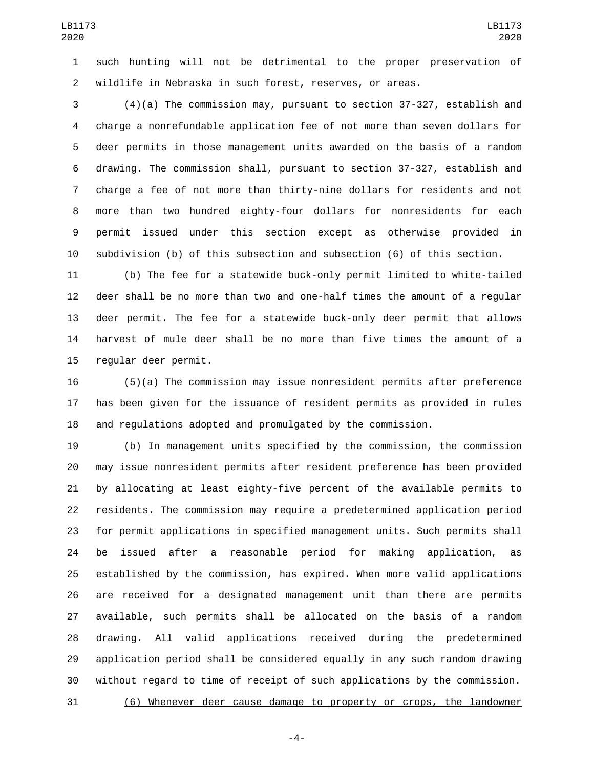such hunting will not be detrimental to the proper preservation of wildlife in Nebraska in such forest, reserves, or areas.

 (4)(a) The commission may, pursuant to section 37-327, establish and charge a nonrefundable application fee of not more than seven dollars for deer permits in those management units awarded on the basis of a random drawing. The commission shall, pursuant to section 37-327, establish and charge a fee of not more than thirty-nine dollars for residents and not more than two hundred eighty-four dollars for nonresidents for each permit issued under this section except as otherwise provided in subdivision (b) of this subsection and subsection (6) of this section.

 (b) The fee for a statewide buck-only permit limited to white-tailed deer shall be no more than two and one-half times the amount of a regular deer permit. The fee for a statewide buck-only deer permit that allows harvest of mule deer shall be no more than five times the amount of a 15 regular deer permit.

 (5)(a) The commission may issue nonresident permits after preference has been given for the issuance of resident permits as provided in rules and regulations adopted and promulgated by the commission.

 (b) In management units specified by the commission, the commission may issue nonresident permits after resident preference has been provided by allocating at least eighty-five percent of the available permits to residents. The commission may require a predetermined application period for permit applications in specified management units. Such permits shall be issued after a reasonable period for making application, as established by the commission, has expired. When more valid applications are received for a designated management unit than there are permits available, such permits shall be allocated on the basis of a random drawing. All valid applications received during the predetermined application period shall be considered equally in any such random drawing without regard to time of receipt of such applications by the commission.

(6) Whenever deer cause damage to property or crops, the landowner

-4-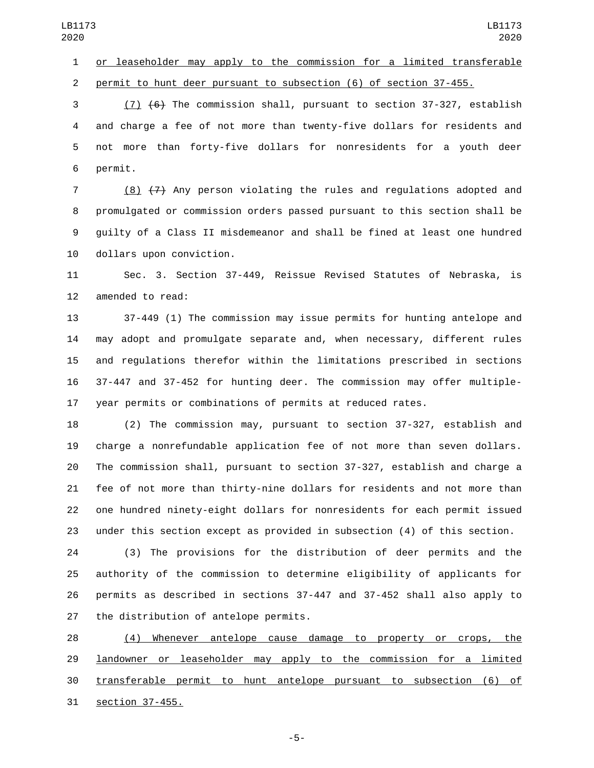or leaseholder may apply to the commission for a limited transferable permit to hunt deer pursuant to subsection (6) of section 37-455.

 (7) (6) The commission shall, pursuant to section 37-327, establish and charge a fee of not more than twenty-five dollars for residents and not more than forty-five dollars for nonresidents for a youth deer 6 permit.

 (8) (7) Any person violating the rules and regulations adopted and promulgated or commission orders passed pursuant to this section shall be guilty of a Class II misdemeanor and shall be fined at least one hundred 10 dollars upon conviction.

 Sec. 3. Section 37-449, Reissue Revised Statutes of Nebraska, is 12 amended to read:

 37-449 (1) The commission may issue permits for hunting antelope and may adopt and promulgate separate and, when necessary, different rules and regulations therefor within the limitations prescribed in sections 37-447 and 37-452 for hunting deer. The commission may offer multiple-year permits or combinations of permits at reduced rates.

 (2) The commission may, pursuant to section 37-327, establish and charge a nonrefundable application fee of not more than seven dollars. The commission shall, pursuant to section 37-327, establish and charge a fee of not more than thirty-nine dollars for residents and not more than one hundred ninety-eight dollars for nonresidents for each permit issued under this section except as provided in subsection (4) of this section.

 (3) The provisions for the distribution of deer permits and the authority of the commission to determine eligibility of applicants for permits as described in sections 37-447 and 37-452 shall also apply to 27 the distribution of antelope permits.

 (4) Whenever antelope cause damage to property or crops, the **landowner or leaseholder may apply to the commission for a limited**  transferable permit to hunt antelope pursuant to subsection (6) of 31 section 37-455.

-5-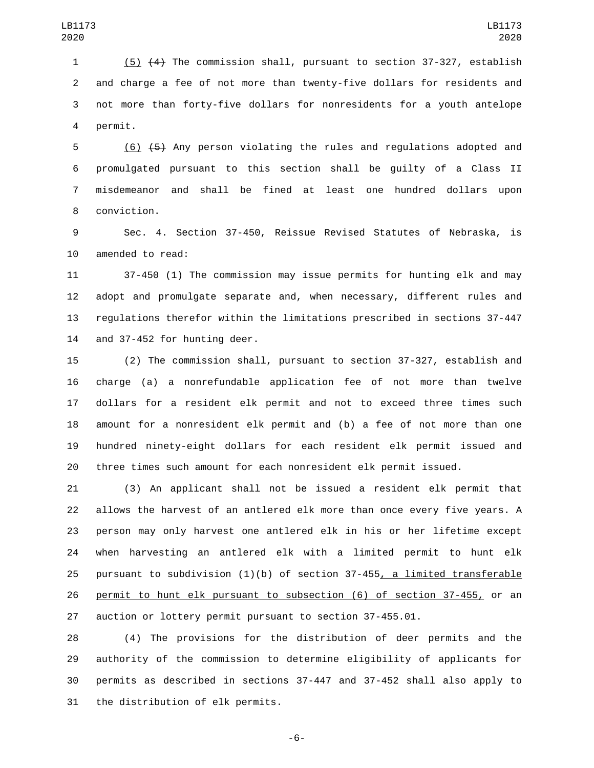(5) (4) The commission shall, pursuant to section 37-327, establish and charge a fee of not more than twenty-five dollars for residents and not more than forty-five dollars for nonresidents for a youth antelope 4 permit.

 (6) (5) Any person violating the rules and regulations adopted and promulgated pursuant to this section shall be guilty of a Class II misdemeanor and shall be fined at least one hundred dollars upon 8 conviction.

 Sec. 4. Section 37-450, Reissue Revised Statutes of Nebraska, is 10 amended to read:

 37-450 (1) The commission may issue permits for hunting elk and may adopt and promulgate separate and, when necessary, different rules and regulations therefor within the limitations prescribed in sections 37-447 14 and  $37-452$  for hunting deer.

 (2) The commission shall, pursuant to section 37-327, establish and charge (a) a nonrefundable application fee of not more than twelve dollars for a resident elk permit and not to exceed three times such amount for a nonresident elk permit and (b) a fee of not more than one hundred ninety-eight dollars for each resident elk permit issued and three times such amount for each nonresident elk permit issued.

 (3) An applicant shall not be issued a resident elk permit that allows the harvest of an antlered elk more than once every five years. A person may only harvest one antlered elk in his or her lifetime except when harvesting an antlered elk with a limited permit to hunt elk 25 pursuant to subdivision  $(1)(b)$  of section 37-455, a limited transferable permit to hunt elk pursuant to subsection (6) of section 37-455, or an auction or lottery permit pursuant to section 37-455.01.

 (4) The provisions for the distribution of deer permits and the authority of the commission to determine eligibility of applicants for permits as described in sections 37-447 and 37-452 shall also apply to 31 the distribution of elk permits.

-6-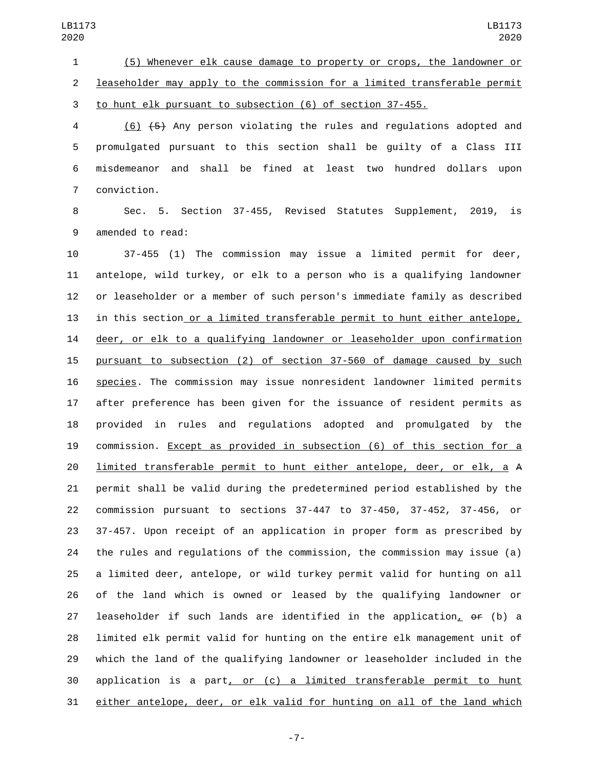(5) Whenever elk cause damage to property or crops, the landowner or leaseholder may apply to the commission for a limited transferable permit to hunt elk pursuant to subsection (6) of section 37-455.

 (6) (5) Any person violating the rules and regulations adopted and promulgated pursuant to this section shall be guilty of a Class III misdemeanor and shall be fined at least two hundred dollars upon 7 conviction.

 Sec. 5. Section 37-455, Revised Statutes Supplement, 2019, is 9 amended to read:

 37-455 (1) The commission may issue a limited permit for deer, antelope, wild turkey, or elk to a person who is a qualifying landowner or leaseholder or a member of such person's immediate family as described in this section or a limited transferable permit to hunt either antelope, 14 deer, or elk to a qualifying landowner or leaseholder upon confirmation pursuant to subsection (2) of section 37-560 of damage caused by such species. The commission may issue nonresident landowner limited permits after preference has been given for the issuance of resident permits as provided in rules and regulations adopted and promulgated by the commission. Except as provided in subsection (6) of this section for a limited transferable permit to hunt either antelope, deer, or elk, a A permit shall be valid during the predetermined period established by the commission pursuant to sections 37-447 to 37-450, 37-452, 37-456, or 37-457. Upon receipt of an application in proper form as prescribed by the rules and regulations of the commission, the commission may issue (a) a limited deer, antelope, or wild turkey permit valid for hunting on all of the land which is owned or leased by the qualifying landowner or leaseholder if such lands are identified in the application, or (b) a limited elk permit valid for hunting on the entire elk management unit of which the land of the qualifying landowner or leaseholder included in the application is a part, or (c) a limited transferable permit to hunt either antelope, deer, or elk valid for hunting on all of the land which

-7-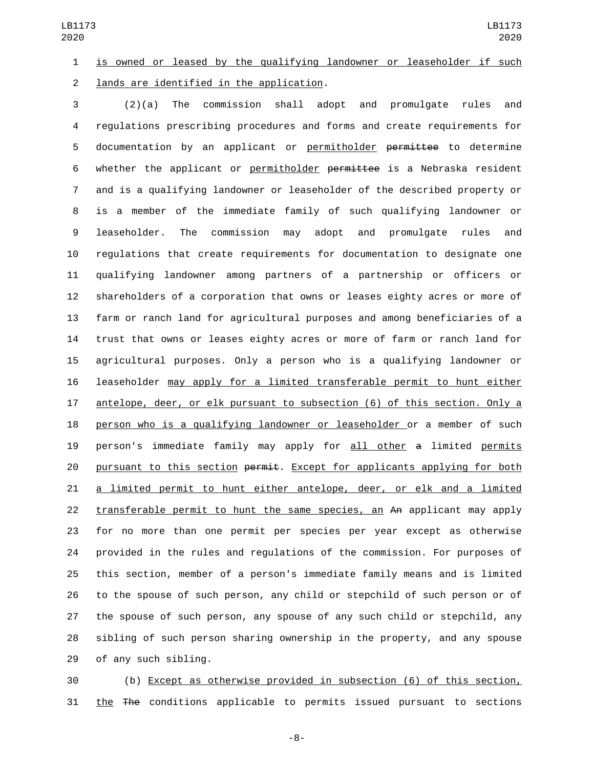is owned or leased by the qualifying landowner or leaseholder if such 2 lands are identified in the application.

 (2)(a) The commission shall adopt and promulgate rules and regulations prescribing procedures and forms and create requirements for documentation by an applicant or permitholder permittee to determine whether the applicant or permitholder permittee is a Nebraska resident and is a qualifying landowner or leaseholder of the described property or is a member of the immediate family of such qualifying landowner or leaseholder. The commission may adopt and promulgate rules and regulations that create requirements for documentation to designate one qualifying landowner among partners of a partnership or officers or shareholders of a corporation that owns or leases eighty acres or more of farm or ranch land for agricultural purposes and among beneficiaries of a trust that owns or leases eighty acres or more of farm or ranch land for agricultural purposes. Only a person who is a qualifying landowner or leaseholder may apply for a limited transferable permit to hunt either antelope, deer, or elk pursuant to subsection (6) of this section. Only a person who is a qualifying landowner or leaseholder or a member of such person's immediate family may apply for all other a limited permits 20 pursuant to this section permit. Except for applicants applying for both a limited permit to hunt either antelope, deer, or elk and a limited transferable permit to hunt the same species, an An applicant may apply for no more than one permit per species per year except as otherwise provided in the rules and regulations of the commission. For purposes of this section, member of a person's immediate family means and is limited to the spouse of such person, any child or stepchild of such person or of the spouse of such person, any spouse of any such child or stepchild, any sibling of such person sharing ownership in the property, and any spouse 29 of any such sibling.

 (b) Except as otherwise provided in subsection (6) of this section, the The conditions applicable to permits issued pursuant to sections

-8-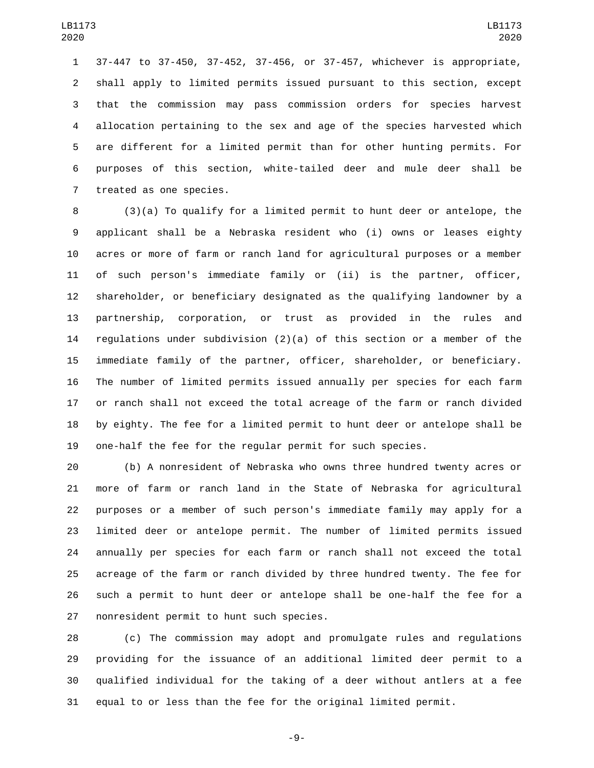37-447 to 37-450, 37-452, 37-456, or 37-457, whichever is appropriate, shall apply to limited permits issued pursuant to this section, except that the commission may pass commission orders for species harvest allocation pertaining to the sex and age of the species harvested which are different for a limited permit than for other hunting permits. For purposes of this section, white-tailed deer and mule deer shall be 7 treated as one species.

 (3)(a) To qualify for a limited permit to hunt deer or antelope, the applicant shall be a Nebraska resident who (i) owns or leases eighty acres or more of farm or ranch land for agricultural purposes or a member of such person's immediate family or (ii) is the partner, officer, shareholder, or beneficiary designated as the qualifying landowner by a partnership, corporation, or trust as provided in the rules and regulations under subdivision (2)(a) of this section or a member of the immediate family of the partner, officer, shareholder, or beneficiary. The number of limited permits issued annually per species for each farm or ranch shall not exceed the total acreage of the farm or ranch divided by eighty. The fee for a limited permit to hunt deer or antelope shall be one-half the fee for the regular permit for such species.

 (b) A nonresident of Nebraska who owns three hundred twenty acres or more of farm or ranch land in the State of Nebraska for agricultural purposes or a member of such person's immediate family may apply for a limited deer or antelope permit. The number of limited permits issued annually per species for each farm or ranch shall not exceed the total acreage of the farm or ranch divided by three hundred twenty. The fee for such a permit to hunt deer or antelope shall be one-half the fee for a 27 nonresident permit to hunt such species.

 (c) The commission may adopt and promulgate rules and regulations providing for the issuance of an additional limited deer permit to a qualified individual for the taking of a deer without antlers at a fee equal to or less than the fee for the original limited permit.

-9-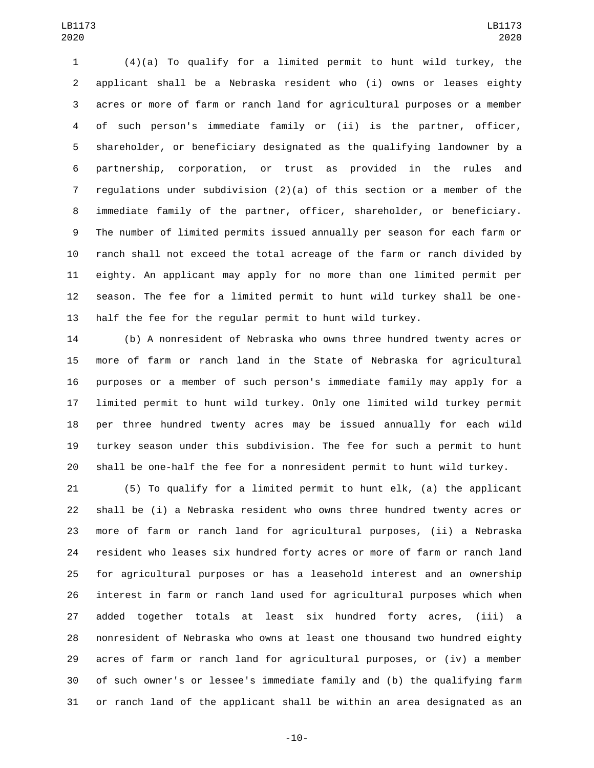(4)(a) To qualify for a limited permit to hunt wild turkey, the applicant shall be a Nebraska resident who (i) owns or leases eighty acres or more of farm or ranch land for agricultural purposes or a member of such person's immediate family or (ii) is the partner, officer, shareholder, or beneficiary designated as the qualifying landowner by a partnership, corporation, or trust as provided in the rules and regulations under subdivision (2)(a) of this section or a member of the immediate family of the partner, officer, shareholder, or beneficiary. The number of limited permits issued annually per season for each farm or ranch shall not exceed the total acreage of the farm or ranch divided by eighty. An applicant may apply for no more than one limited permit per season. The fee for a limited permit to hunt wild turkey shall be one-half the fee for the regular permit to hunt wild turkey.

 (b) A nonresident of Nebraska who owns three hundred twenty acres or more of farm or ranch land in the State of Nebraska for agricultural purposes or a member of such person's immediate family may apply for a limited permit to hunt wild turkey. Only one limited wild turkey permit per three hundred twenty acres may be issued annually for each wild turkey season under this subdivision. The fee for such a permit to hunt shall be one-half the fee for a nonresident permit to hunt wild turkey.

 (5) To qualify for a limited permit to hunt elk, (a) the applicant shall be (i) a Nebraska resident who owns three hundred twenty acres or more of farm or ranch land for agricultural purposes, (ii) a Nebraska resident who leases six hundred forty acres or more of farm or ranch land for agricultural purposes or has a leasehold interest and an ownership interest in farm or ranch land used for agricultural purposes which when added together totals at least six hundred forty acres, (iii) a nonresident of Nebraska who owns at least one thousand two hundred eighty acres of farm or ranch land for agricultural purposes, or (iv) a member of such owner's or lessee's immediate family and (b) the qualifying farm or ranch land of the applicant shall be within an area designated as an

-10-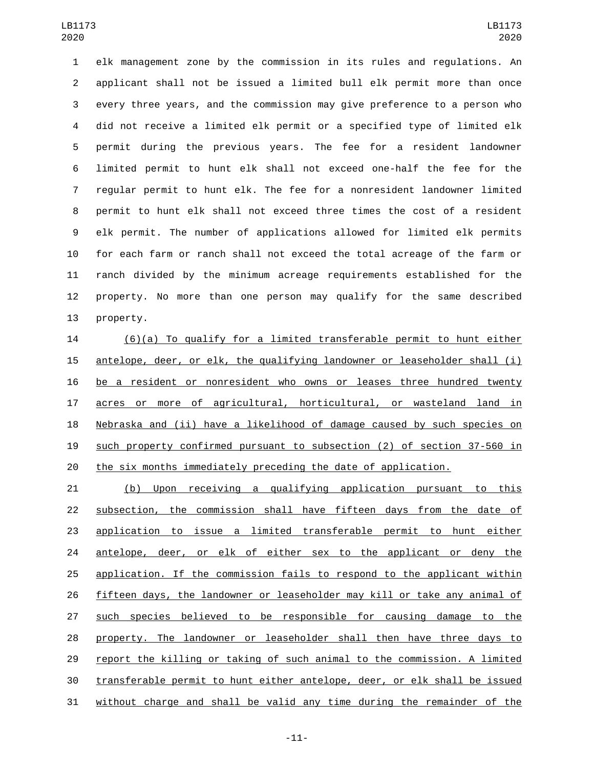elk management zone by the commission in its rules and regulations. An applicant shall not be issued a limited bull elk permit more than once every three years, and the commission may give preference to a person who did not receive a limited elk permit or a specified type of limited elk permit during the previous years. The fee for a resident landowner limited permit to hunt elk shall not exceed one-half the fee for the regular permit to hunt elk. The fee for a nonresident landowner limited permit to hunt elk shall not exceed three times the cost of a resident elk permit. The number of applications allowed for limited elk permits for each farm or ranch shall not exceed the total acreage of the farm or ranch divided by the minimum acreage requirements established for the property. No more than one person may qualify for the same described 13 property.

 (6)(a) To qualify for a limited transferable permit to hunt either antelope, deer, or elk, the qualifying landowner or leaseholder shall (i) be a resident or nonresident who owns or leases three hundred twenty acres or more of agricultural, horticultural, or wasteland land in Nebraska and (ii) have a likelihood of damage caused by such species on such property confirmed pursuant to subsection (2) of section 37-560 in the six months immediately preceding the date of application.

 (b) Upon receiving a qualifying application pursuant to this subsection, the commission shall have fifteen days from the date of application to issue a limited transferable permit to hunt either 24 antelope, deer, or elk of either sex to the applicant or deny the application. If the commission fails to respond to the applicant within fifteen days, the landowner or leaseholder may kill or take any animal of such species believed to be responsible for causing damage to the property. The landowner or leaseholder shall then have three days to report the killing or taking of such animal to the commission. A limited transferable permit to hunt either antelope, deer, or elk shall be issued without charge and shall be valid any time during the remainder of the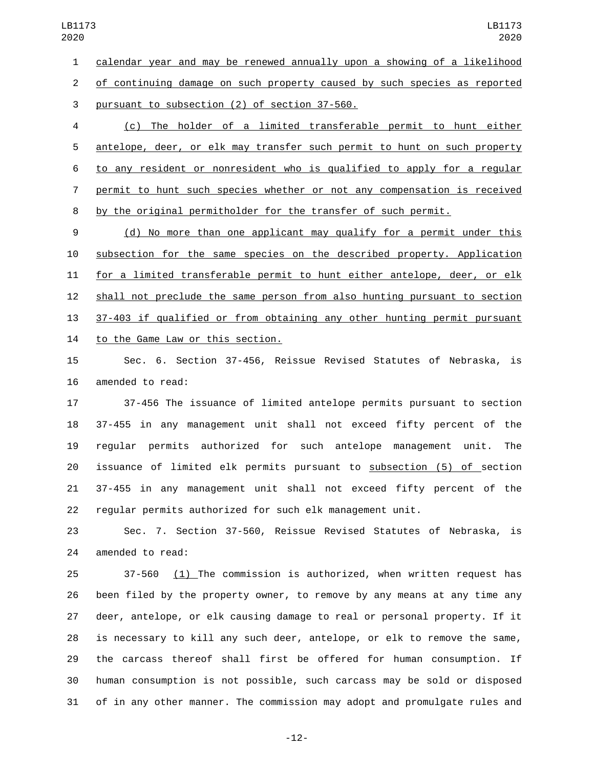calendar year and may be renewed annually upon a showing of a likelihood of continuing damage on such property caused by such species as reported 3 pursuant to subsection (2) of section 37-560.

 (c) The holder of a limited transferable permit to hunt either antelope, deer, or elk may transfer such permit to hunt on such property to any resident or nonresident who is qualified to apply for a regular permit to hunt such species whether or not any compensation is received by the original permitholder for the transfer of such permit.

 (d) No more than one applicant may qualify for a permit under this subsection for the same species on the described property. Application for a limited transferable permit to hunt either antelope, deer, or elk shall not preclude the same person from also hunting pursuant to section 37-403 if qualified or from obtaining any other hunting permit pursuant 14 to the Game Law or this section.

 Sec. 6. Section 37-456, Reissue Revised Statutes of Nebraska, is 16 amended to read:

 37-456 The issuance of limited antelope permits pursuant to section 37-455 in any management unit shall not exceed fifty percent of the regular permits authorized for such antelope management unit. The issuance of limited elk permits pursuant to subsection (5) of section 37-455 in any management unit shall not exceed fifty percent of the regular permits authorized for such elk management unit.

 Sec. 7. Section 37-560, Reissue Revised Statutes of Nebraska, is 24 amended to read:

 37-560 (1) The commission is authorized, when written request has been filed by the property owner, to remove by any means at any time any deer, antelope, or elk causing damage to real or personal property. If it is necessary to kill any such deer, antelope, or elk to remove the same, the carcass thereof shall first be offered for human consumption. If human consumption is not possible, such carcass may be sold or disposed of in any other manner. The commission may adopt and promulgate rules and

-12-